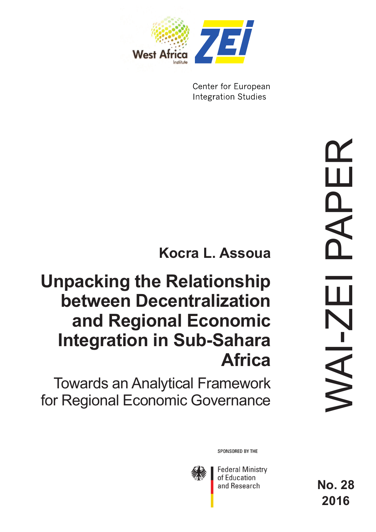

Center for European **Integration Studies** 

# **Kocra L. Assoua**

# **Unpacking the Relationship between Decentralization and Regional Economic Integration in Sub-Sahara Africa**

Towards an Analytical Framework for Regional Economic Governance

WAI-ZEI PAPER APEF Щ  $N$ AI-ZI

SPONSORED BY THE



**Federal Ministry** of Education and Research

**No. 28 2016**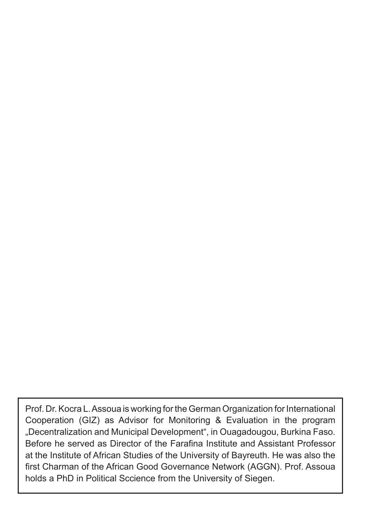Prof. Dr. Kocra L. Assoua is working for the German Organization for International Cooperation (GIZ) as Advisor for Monitoring & Evaluation in the program "Decentralization and Municipal Development", in Ouagadougou, Burkina Faso. Before he served as Director of the Farafina Institute and Assistant Professor at the Institute of African Studies of the University of Bayreuth. He was also the first Charman of the African Good Governance Network (AGGN). Prof. Assoua holds a PhD in Political Sccience from the University of Siegen.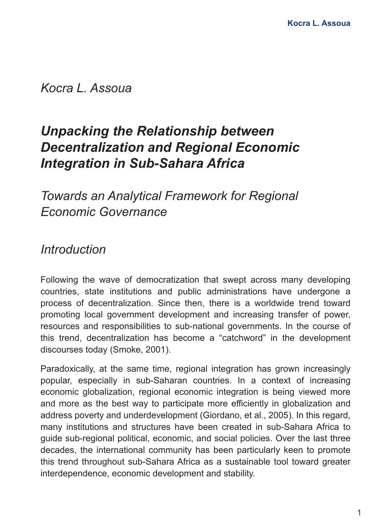*Kocra L. Assoua*

# *Unpacking the Relationship between Decentralization and Regional Economic Integration in Sub-Sahara Africa*

# *Towards an Analytical Framework for Regional Economic Governance*

### *Introduction*

Following the wave of democratization that swept across many developing countries, state institutions and public administrations have undergone a process of decentralization. Since then, there is a worldwide trend toward promoting local government development and increasing transfer of power, resources and responsibilities to sub-national governments. In the course of this trend, decentralization has become a "catchword" in the development discourses today (Smoke, 2001).

Paradoxically, at the same time, regional integration has grown increasingly popular, especially in sub-Saharan countries. In a context of increasing economic globalization, regional economic integration is being viewed more and more as the best way to participate more efficiently in globalization and address poverty and underdevelopment (Giordano, et al., 2005). In this regard, many institutions and structures have been created in sub-Sahara Africa to guide sub-regional political, economic, and social policies. Over the last three decades, the international community has been particularly keen to promote this trend throughout sub-Sahara Africa as a sustainable tool toward greater interdependence, economic development and stability.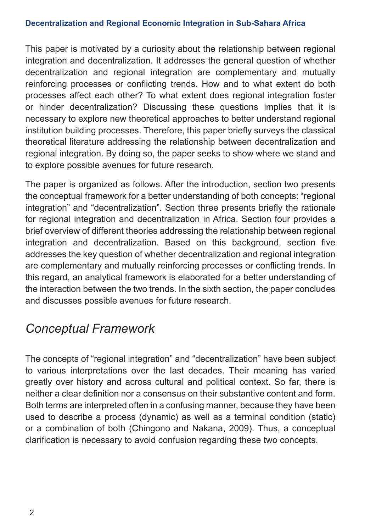This paper is motivated by a curiosity about the relationship between regional integration and decentralization. It addresses the general question of whether decentralization and regional integration are complementary and mutually reinforcing processes or conflicting trends. How and to what extent do both processes affect each other? To what extent does regional integration foster or hinder decentralization? Discussing these questions implies that it is necessary to explore new theoretical approaches to better understand regional institution building processes. Therefore, this paper briefly surveys the classical theoretical literature addressing the relationship between decentralization and regional integration. By doing so, the paper seeks to show where we stand and to explore possible avenues for future research.

The paper is organized as follows. After the introduction, section two presents the conceptual framework for a better understanding of both concepts: "regional integration" and "decentralization". Section three presents briefly the rationale for regional integration and decentralization in Africa. Section four provides a brief overview of different theories addressing the relationship between regional integration and decentralization. Based on this background, section five addresses the key question of whether decentralization and regional integration are complementary and mutually reinforcing processes or conflicting trends. In this regard, an analytical framework is elaborated for a better understanding of the interaction between the two trends. In the sixth section, the paper concludes and discusses possible avenues for future research.

# *Conceptual Framework*

The concepts of "regional integration" and "decentralization" have been subject to various interpretations over the last decades. Their meaning has varied greatly over history and across cultural and political context. So far, there is neither a clear definition nor a consensus on their substantive content and form. Both terms are interpreted often in a confusing manner, because they have been used to describe a process (dynamic) as well as a terminal condition (static) or a combination of both (Chingono and Nakana, 2009). Thus, a conceptual clarification is necessary to avoid confusion regarding these two concepts.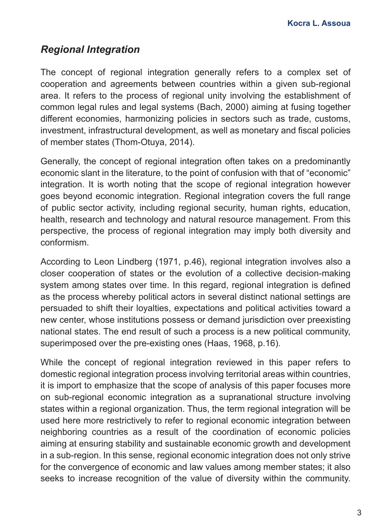### *Regional Integration*

The concept of regional integration generally refers to a complex set of cooperation and agreements between countries within a given sub-regional area. It refers to the process of regional unity involving the establishment of common legal rules and legal systems (Bach, 2000) aiming at fusing together different economies, harmonizing policies in sectors such as trade, customs, investment, infrastructural development, as well as monetary and fiscal policies of member states (Thom-Otuya, 2014).

Generally, the concept of regional integration often takes on a predominantly economic slant in the literature, to the point of confusion with that of "economic" integration. It is worth noting that the scope of regional integration however goes beyond economic integration. Regional integration covers the full range of public sector activity, including regional security, human rights, education, health, research and technology and natural resource management. From this perspective, the process of regional integration may imply both diversity and conformism.

According to Leon Lindberg (1971, p.46), regional integration involves also a closer cooperation of states or the evolution of a collective decision-making system among states over time. In this regard, regional integration is defined as the process whereby political actors in several distinct national settings are persuaded to shift their loyalties, expectations and political activities toward a new center, whose institutions possess or demand jurisdiction over preexisting national states. The end result of such a process is a new political community, superimposed over the pre-existing ones (Haas, 1968, p.16).

While the concept of regional integration reviewed in this paper refers to domestic regional integration process involving territorial areas within countries, it is import to emphasize that the scope of analysis of this paper focuses more on sub-regional economic integration as a supranational structure involving states within a regional organization. Thus, the term regional integration will be used here more restrictively to refer to regional economic integration between neighboring countries as a result of the coordination of economic policies aiming at ensuring stability and sustainable economic growth and development in a sub-region. In this sense, regional economic integration does not only strive for the convergence of economic and law values among member states; it also seeks to increase recognition of the value of diversity within the community.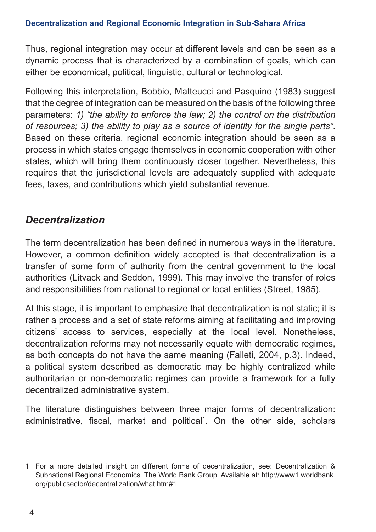Thus, regional integration may occur at different levels and can be seen as a dynamic process that is characterized by a combination of goals, which can either be economical, political, linguistic, cultural or technological.

Following this interpretation, Bobbio, Matteucci and Pasquino (1983) suggest that the degree of integration can be measured on the basis of the following three parameters: *1) "the ability to enforce the law; 2) the control on the distribution of resources; 3) the ability to play as a source of identity for the single parts"*. Based on these criteria, regional economic integration should be seen as a process in which states engage themselves in economic cooperation with other states, which will bring them continuously closer together. Nevertheless, this requires that the jurisdictional levels are adequately supplied with adequate fees, taxes, and contributions which yield substantial revenue.

### *Decentralization*

The term decentralization has been defined in numerous ways in the literature. However, a common definition widely accepted is that decentralization is a transfer of some form of authority from the central government to the local authorities (Litvack and Seddon, 1999). This may involve the transfer of roles and responsibilities from national to regional or local entities (Street, 1985).

At this stage, it is important to emphasize that decentralization is not static; it is rather a process and a set of state reforms aiming at facilitating and improving citizens' access to services, especially at the local level. Nonetheless, decentralization reforms may not necessarily equate with democratic regimes, as both concepts do not have the same meaning (Falleti, 2004, p.3). Indeed, a political system described as democratic may be highly centralized while authoritarian or non-democratic regimes can provide a framework for a fully decentralized administrative system.

The literature distinguishes between three major forms of decentralization: administrative, fiscal, market and political<sup>1</sup>. On the other side, scholars

<sup>1</sup> For a more detailed insight on different forms of decentralization, see: Decentralization & Subnational Regional Economics. The World Bank Group. Available at: http://www1.worldbank. org/publicsector/decentralization/what.htm#1.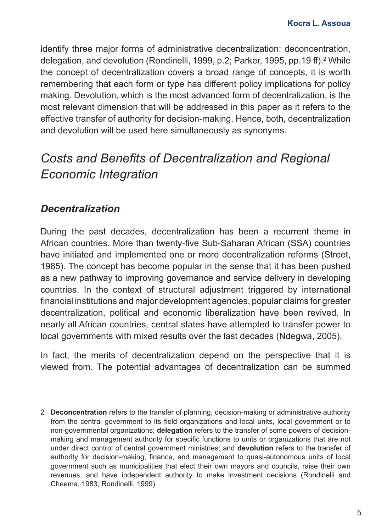identify three major forms of administrative decentralization: deconcentration, delegation, and devolution (Rondinelli, 1999, p.2; Parker, 1995, pp.19 ff).<sup>2</sup> While the concept of decentralization covers a broad range of concepts, it is worth remembering that each form or type has different policy implications for policy making. Devolution, which is the most advanced form of decentralization, is the most relevant dimension that will be addressed in this paper as it refers to the effective transfer of authority for decision-making. Hence, both, decentralization and devolution will be used here simultaneously as synonyms.

# *Costs and Benefits of Decentralization and Regional Economic Integration*

### *Decentralization*

During the past decades, decentralization has been a recurrent theme in African countries. More than twenty-five Sub-Saharan African (SSA) countries have initiated and implemented one or more decentralization reforms (Street, 1985). The concept has become popular in the sense that it has been pushed as a new pathway to improving governance and service delivery in developing countries. In the context of structural adjustment triggered by international financial institutions and major development agencies, popular claims for greater decentralization, political and economic liberalization have been revived. In nearly all African countries, central states have attempted to transfer power to local governments with mixed results over the last decades (Ndegwa, 2005).

In fact, the merits of decentralization depend on the perspective that it is viewed from. The potential advantages of decentralization can be summed

2 **Deconcentration** refers to the transfer of planning, decision-making or administrative authority from the central government to its field organizations and local units, local government or to non-governmental organizations; **delegation** refers to the transfer of some powers of decisionmaking and management authority for specific functions to units or organizations that are not under direct control of central government ministries; and **devolution** refers to the transfer of authority for decision-making, finance, and management to quasi-autonomous units of local government such as municipalities that elect their own mayors and councils, raise their own revenues, and have independent authority to make investment decisions (Rondinelli and Cheema, 1983; Rondinelli, 1999).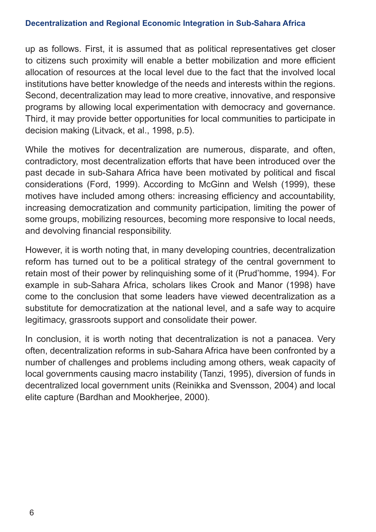up as follows. First, it is assumed that as political representatives get closer to citizens such proximity will enable a better mobilization and more efficient allocation of resources at the local level due to the fact that the involved local institutions have better knowledge of the needs and interests within the regions. Second, decentralization may lead to more creative, innovative, and responsive programs by allowing local experimentation with democracy and governance. Third, it may provide better opportunities for local communities to participate in decision making (Litvack, et al., 1998, p.5).

While the motives for decentralization are numerous, disparate, and often, contradictory, most decentralization efforts that have been introduced over the past decade in sub-Sahara Africa have been motivated by political and fiscal considerations (Ford, 1999). According to McGinn and Welsh (1999), these motives have included among others: increasing efficiency and accountability, increasing democratization and community participation, limiting the power of some groups, mobilizing resources, becoming more responsive to local needs, and devolving financial responsibility.

However, it is worth noting that, in many developing countries, decentralization reform has turned out to be a political strategy of the central government to retain most of their power by relinquishing some of it (Prud'homme, 1994). For example in sub-Sahara Africa, scholars likes Crook and Manor (1998) have come to the conclusion that some leaders have viewed decentralization as a substitute for democratization at the national level, and a safe way to acquire legitimacy, grassroots support and consolidate their power.

In conclusion, it is worth noting that decentralization is not a panacea. Very often, decentralization reforms in sub-Sahara Africa have been confronted by a number of challenges and problems including among others, weak capacity of local governments causing macro instability (Tanzi, 1995), diversion of funds in decentralized local government units (Reinikka and Svensson, 2004) and local elite capture (Bardhan and Mookherjee, 2000).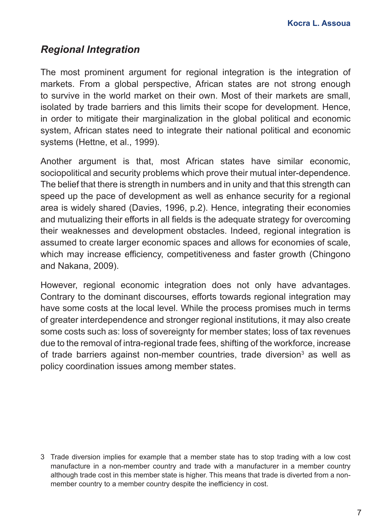### *Regional Integration*

The most prominent argument for regional integration is the integration of markets. From a global perspective, African states are not strong enough to survive in the world market on their own. Most of their markets are small, isolated by trade barriers and this limits their scope for development. Hence, in order to mitigate their marginalization in the global political and economic system, African states need to integrate their national political and economic systems (Hettne, et al., 1999).

Another argument is that, most African states have similar economic, sociopolitical and security problems which prove their mutual inter-dependence. The belief that there is strength in numbers and in unity and that this strength can speed up the pace of development as well as enhance security for a regional area is widely shared (Davies, 1996, p.2). Hence, integrating their economies and mutualizing their efforts in all fields is the adequate strategy for overcoming their weaknesses and development obstacles. Indeed, regional integration is assumed to create larger economic spaces and allows for economies of scale, which may increase efficiency, competitiveness and faster growth (Chingono and Nakana, 2009).

However, regional economic integration does not only have advantages. Contrary to the dominant discourses, efforts towards regional integration may have some costs at the local level. While the process promises much in terms of greater interdependence and stronger regional institutions, it may also create some costs such as: loss of sovereignty for member states; loss of tax revenues due to the removal of intra-regional trade fees, shifting of the workforce, increase of trade barriers against non-member countries, trade diversion<sup>3</sup> as well as policy coordination issues among member states.

3 Trade diversion implies for example that a member state has to stop trading with a low cost manufacture in a non-member country and trade with a manufacturer in a member country although trade cost in this member state is higher. This means that trade is diverted from a nonmember country to a member country despite the inefficiency in cost.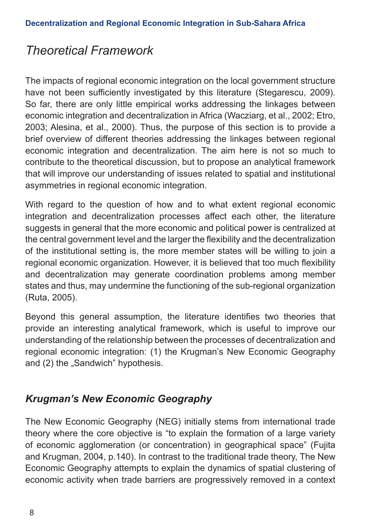## *Theoretical Framework*

The impacts of regional economic integration on the local government structure have not been sufficiently investigated by this literature (Stegarescu, 2009). So far, there are only little empirical works addressing the linkages between economic integration and decentralization in Africa (Wacziarg, et al., 2002; Etro, 2003; Alesina, et al., 2000). Thus, the purpose of this section is to provide a brief overview of different theories addressing the linkages between regional economic integration and decentralization. The aim here is not so much to contribute to the theoretical discussion, but to propose an analytical framework that will improve our understanding of issues related to spatial and institutional asymmetries in regional economic integration.

With regard to the question of how and to what extent regional economic integration and decentralization processes affect each other, the literature suggests in general that the more economic and political power is centralized at the central government level and the larger the flexibility and the decentralization of the institutional setting is, the more member states will be willing to join a regional economic organization. However, it is believed that too much flexibility and decentralization may generate coordination problems among member states and thus, may undermine the functioning of the sub-regional organization (Ruta, 2005).

Beyond this general assumption, the literature identifies two theories that provide an interesting analytical framework, which is useful to improve our understanding of the relationship between the processes of decentralization and regional economic integration: (1) the Krugman's New Economic Geography and (2) the "Sandwich" hypothesis.

### *Krugman's New Economic Geography*

The New Economic Geography (NEG) initially stems from international trade theory where the core objective is "to explain the formation of a large variety of economic agglomeration (or concentration) in geographical space" (Fujita and Krugman, 2004, p.140). In contrast to the traditional trade theory, The New Economic Geography attempts to explain the dynamics of spatial clustering of economic activity when trade barriers are progressively removed in a context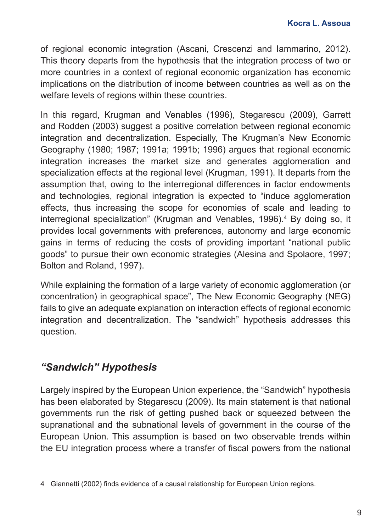of regional economic integration (Ascani, Crescenzi and Iammarino, 2012). This theory departs from the hypothesis that the integration process of two or more countries in a context of regional economic organization has economic implications on the distribution of income between countries as well as on the welfare levels of regions within these countries.

In this regard, Krugman and Venables (1996), Stegarescu (2009), Garrett and Rodden (2003) suggest a positive correlation between regional economic integration and decentralization. Especially, The Krugman's New Economic Geography (1980; 1987; 1991a; 1991b; 1996) argues that regional economic integration increases the market size and generates agglomeration and specialization effects at the regional level (Krugman, 1991). It departs from the assumption that, owing to the interregional differences in factor endowments and technologies, regional integration is expected to "induce agglomeration effects, thus increasing the scope for economies of scale and leading to interregional specialization" (Krugman and Venables, 1996).<sup>4</sup> By doing so, it provides local governments with preferences, autonomy and large economic gains in terms of reducing the costs of providing important "national public goods" to pursue their own economic strategies (Alesina and Spolaore, 1997; Bolton and Roland, 1997).

While explaining the formation of a large variety of economic agglomeration (or concentration) in geographical space", The New Economic Geography (NEG) fails to give an adequate explanation on interaction effects of regional economic integration and decentralization. The "sandwich" hypothesis addresses this question.

### *"Sandwich" Hypothesis*

Largely inspired by the European Union experience, the "Sandwich" hypothesis has been elaborated by Stegarescu (2009). Its main statement is that national governments run the risk of getting pushed back or squeezed between the supranational and the subnational levels of government in the course of the European Union. This assumption is based on two observable trends within the EU integration process where a transfer of fiscal powers from the national

4 Giannetti (2002) finds evidence of a causal relationship for European Union regions.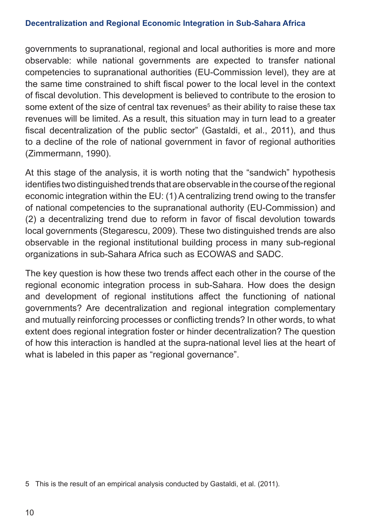governments to supranational, regional and local authorities is more and more observable: while national governments are expected to transfer national competencies to supranational authorities (EU-Commission level), they are at the same time constrained to shift fiscal power to the local level in the context of fiscal devolution. This development is believed to contribute to the erosion to some extent of the size of central tax revenues $^{\rm 5}$  as their ability to raise these tax revenues will be limited. As a result, this situation may in turn lead to a greater fiscal decentralization of the public sector" (Gastaldi, et al., 2011), and thus to a decline of the role of national government in favor of regional authorities (Zimmermann, 1990).

At this stage of the analysis, it is worth noting that the "sandwich" hypothesis identifies two distinguished trends that are observable in the course of the regional economic integration within the EU: (1) A centralizing trend owing to the transfer of national competencies to the supranational authority (EU-Commission) and (2) a decentralizing trend due to reform in favor of fiscal devolution towards local governments (Stegarescu, 2009). These two distinguished trends are also observable in the regional institutional building process in many sub-regional organizations in sub-Sahara Africa such as ECOWAS and SADC.

The key question is how these two trends affect each other in the course of the regional economic integration process in sub-Sahara. How does the design and development of regional institutions affect the functioning of national governments? Are decentralization and regional integration complementary and mutually reinforcing processes or conflicting trends? In other words, to what extent does regional integration foster or hinder decentralization? The question of how this interaction is handled at the supra-national level lies at the heart of what is labeled in this paper as "regional governance".

<sup>5</sup> This is the result of an empirical analysis conducted by Gastaldi, et al. (2011).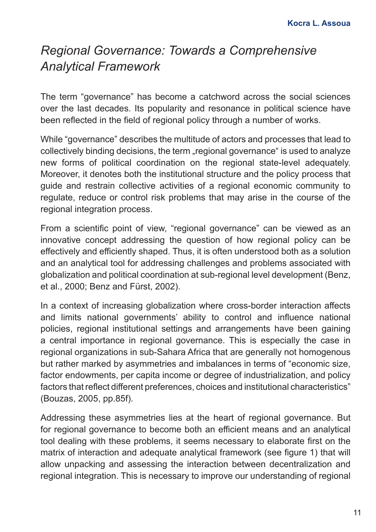## *Regional Governance: Towards a Comprehensive Analytical Framework*

The term "governance" has become a catchword across the social sciences over the last decades. Its popularity and resonance in political science have been reflected in the field of regional policy through a number of works.

While "governance" describes the multitude of actors and processes that lead to collectively binding decisions, the term "regional governance" is used to analyze new forms of political coordination on the regional state-level adequately. Moreover, it denotes both the institutional structure and the policy process that guide and restrain collective activities of a regional economic community to regulate, reduce or control risk problems that may arise in the course of the regional integration process.

From a scientific point of view, "regional governance" can be viewed as an innovative concept addressing the question of how regional policy can be effectively and efficiently shaped. Thus, it is often understood both as a solution and an analytical tool for addressing challenges and problems associated with globalization and political coordination at sub-regional level development (Benz, et al., 2000; Benz and Fürst, 2002).

In a context of increasing globalization where cross-border interaction affects and limits national governments' ability to control and influence national policies, regional institutional settings and arrangements have been gaining a central importance in regional governance. This is especially the case in regional organizations in sub-Sahara Africa that are generally not homogenous but rather marked by asymmetries and imbalances in terms of "economic size, factor endowments, per capita income or degree of industrialization, and policy factors that reflect different preferences, choices and institutional characteristics" (Bouzas, 2005, pp.85f).

Addressing these asymmetries lies at the heart of regional governance. But for regional governance to become both an efficient means and an analytical tool dealing with these problems, it seems necessary to elaborate first on the matrix of interaction and adequate analytical framework (see figure 1) that will allow unpacking and assessing the interaction between decentralization and regional integration. This is necessary to improve our understanding of regional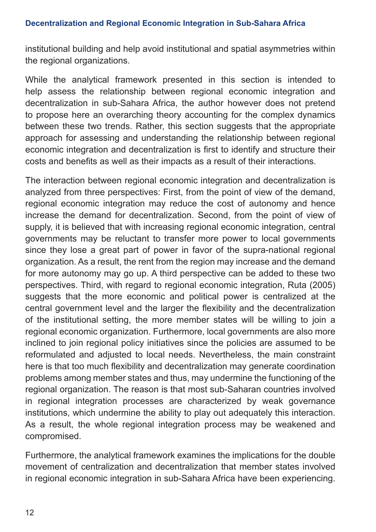institutional building and help avoid institutional and spatial asymmetries within the regional organizations.

While the analytical framework presented in this section is intended to help assess the relationship between regional economic integration and decentralization in sub-Sahara Africa, the author however does not pretend to propose here an overarching theory accounting for the complex dynamics between these two trends. Rather, this section suggests that the appropriate approach for assessing and understanding the relationship between regional economic integration and decentralization is first to identify and structure their costs and benefits as well as their impacts as a result of their interactions.

The interaction between regional economic integration and decentralization is analyzed from three perspectives: First, from the point of view of the demand, regional economic integration may reduce the cost of autonomy and hence increase the demand for decentralization. Second, from the point of view of supply, it is believed that with increasing regional economic integration, central governments may be reluctant to transfer more power to local governments since they lose a great part of power in favor of the supra-national regional organization. As a result, the rent from the region may increase and the demand for more autonomy may go up. A third perspective can be added to these two perspectives. Third, with regard to regional economic integration, Ruta (2005) suggests that the more economic and political power is centralized at the central government level and the larger the flexibility and the decentralization of the institutional setting, the more member states will be willing to join a regional economic organization. Furthermore, local governments are also more inclined to join regional policy initiatives since the policies are assumed to be reformulated and adjusted to local needs. Nevertheless, the main constraint here is that too much flexibility and decentralization may generate coordination problems among member states and thus, may undermine the functioning of the regional organization. The reason is that most sub-Saharan countries involved in regional integration processes are characterized by weak governance institutions, which undermine the ability to play out adequately this interaction. As a result, the whole regional integration process may be weakened and compromised.

Furthermore, the analytical framework examines the implications for the double movement of centralization and decentralization that member states involved in regional economic integration in sub-Sahara Africa have been experiencing.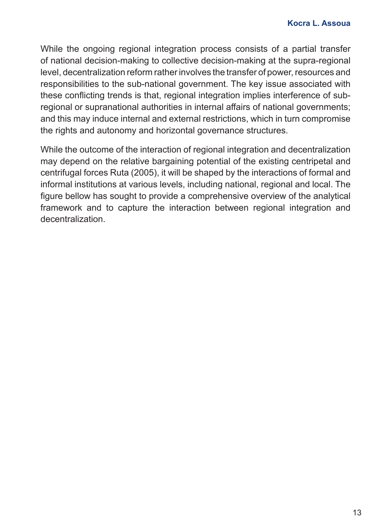While the ongoing regional integration process consists of a partial transfer of national decision-making to collective decision-making at the supra-regional level, decentralization reform rather involves the transfer of power, resources and responsibilities to the sub-national government. The key issue associated with these conflicting trends is that, regional integration implies interference of subregional or supranational authorities in internal affairs of national governments; and this may induce internal and external restrictions, which in turn compromise the rights and autonomy and horizontal governance structures.

While the outcome of the interaction of regional integration and decentralization may depend on the relative bargaining potential of the existing centripetal and centrifugal forces Ruta (2005), it will be shaped by the interactions of formal and informal institutions at various levels, including national, regional and local. The figure bellow has sought to provide a comprehensive overview of the analytical framework and to capture the interaction between regional integration and decentralization.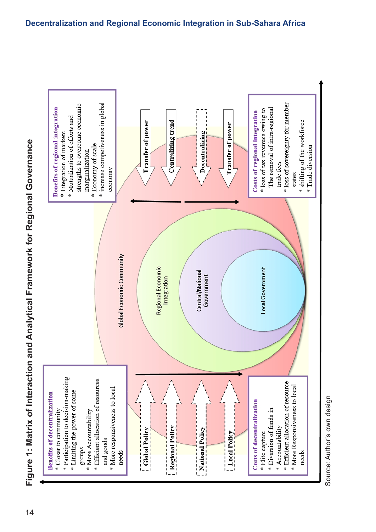Figure 1: Matrix of Interaction and Analytical Framework for Regional Governance 14**Figure 1: Matrix of Interaction and Analytical Framework for Regional Governance**

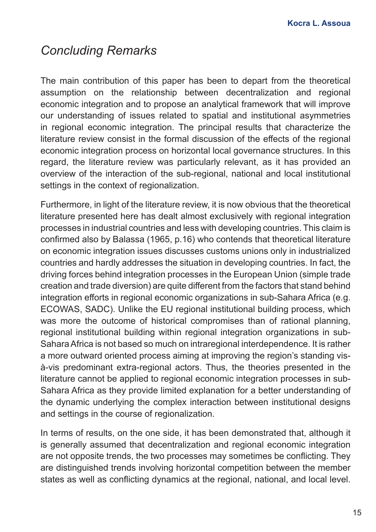### *Concluding Remarks*

The main contribution of this paper has been to depart from the theoretical assumption on the relationship between decentralization and regional economic integration and to propose an analytical framework that will improve our understanding of issues related to spatial and institutional asymmetries in regional economic integration. The principal results that characterize the literature review consist in the formal discussion of the effects of the regional economic integration process on horizontal local governance structures. In this regard, the literature review was particularly relevant, as it has provided an overview of the interaction of the sub-regional, national and local institutional settings in the context of regionalization.

Furthermore, in light of the literature review, it is now obvious that the theoretical literature presented here has dealt almost exclusively with regional integration processes in industrial countries and less with developing countries. This claim is confirmed also by Balassa (1965, p.16) who contends that theoretical literature on economic integration issues discusses customs unions only in industrialized countries and hardly addresses the situation in developing countries. In fact, the driving forces behind integration processes in the European Union (simple trade creation and trade diversion) are quite different from the factors that stand behind integration efforts in regional economic organizations in sub-Sahara Africa (e.g. ECOWAS, SADC). Unlike the EU regional institutional building process, which was more the outcome of historical compromises than of rational planning, regional institutional building within regional integration organizations in sub-Sahara Africa is not based so much on intraregional interdependence. It is rather a more outward oriented process aiming at improving the region's standing visà-vis predominant extra-regional actors. Thus, the theories presented in the literature cannot be applied to regional economic integration processes in sub-Sahara Africa as they provide limited explanation for a better understanding of the dynamic underlying the complex interaction between institutional designs and settings in the course of regionalization.

In terms of results, on the one side, it has been demonstrated that, although it is generally assumed that decentralization and regional economic integration are not opposite trends, the two processes may sometimes be conflicting. They are distinguished trends involving horizontal competition between the member states as well as conflicting dynamics at the regional, national, and local level.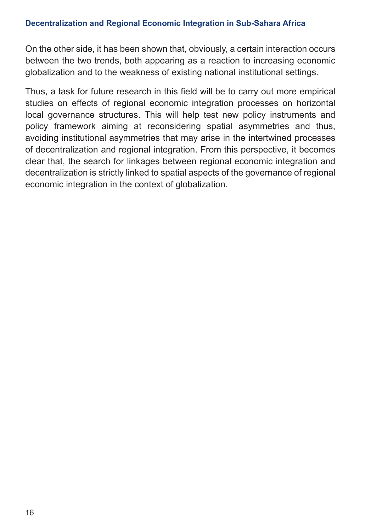On the other side, it has been shown that, obviously, a certain interaction occurs between the two trends, both appearing as a reaction to increasing economic globalization and to the weakness of existing national institutional settings.

Thus, a task for future research in this field will be to carry out more empirical studies on effects of regional economic integration processes on horizontal local governance structures. This will help test new policy instruments and policy framework aiming at reconsidering spatial asymmetries and thus, avoiding institutional asymmetries that may arise in the intertwined processes of decentralization and regional integration. From this perspective, it becomes clear that, the search for linkages between regional economic integration and decentralization is strictly linked to spatial aspects of the governance of regional economic integration in the context of globalization.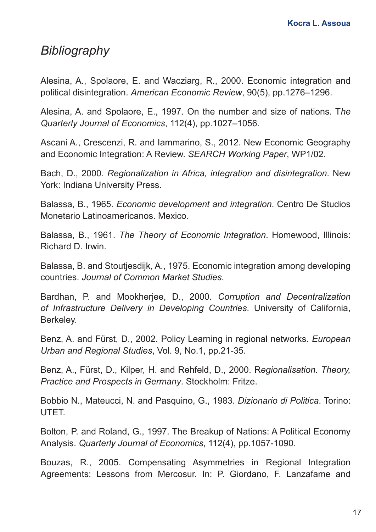### *Bibliography*

Alesina, A., Spolaore, E. and Wacziarg, R., 2000. Economic integration and political disintegration. *American Economic Review*, 90(5), pp.1276–1296.

Alesina, A. and Spolaore, E., 1997. On the number and size of nations. T*he Quarterly Journal of Economics*, 112(4), pp.1027–1056.

Ascani A., Crescenzi, R. and Iammarino, S., 2012. New Economic Geography and Economic Integration: A Review. *SEARCH Working Paper*, WP1/02.

Bach, D., 2000. *Regionalization in Africa, integration and disintegration*. New York: Indiana University Press.

Balassa, B., 1965. *Economic development and integration*. Centro De Studios Monetario Latinoamericanos. Mexico.

Balassa, B., 1961. *The Theory of Economic Integration*. Homewood, Illinois: Richard D. Irwin.

Balassa, B. and Stoutjesdijk, A., 1975. Economic integration among developing countries. *Journal of Common Market Studies*.

Bardhan, P. and Mookherjee, D., 2000. *Corruption and Decentralization of Infrastructure Delivery in Developing Countries*. University of California, Berkeley.

Benz, A. and Fürst, D., 2002. Policy Learning in regional networks. *European Urban and Regional Studies*, Vol. 9, No.1, pp.21-35.

Benz, A., Fürst, D., Kilper, H. and Rehfeld, D., 2000. R*egionalisation. Theory, Practice and Prospects in Germany*. Stockholm: Fritze.

Bobbio N., Mateucci, N. and Pasquino, G., 1983. *Dizionario di Politica*. Torino: UTET.

Bolton, P. and Roland, G., 1997. The Breakup of Nations: A Political Economy Analysis. *Quarterly Journal of Economics*, 112(4), pp.1057-1090.

Bouzas, R., 2005. Compensating Asymmetries in Regional Integration Agreements: Lessons from Mercosur. In: P. Giordano, F. Lanzafame and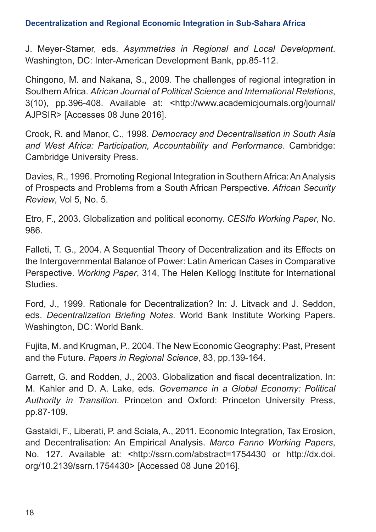J. Meyer-Stamer, eds. *Asymmetries in Regional and Local Development*. Washington, DC: Inter-American Development Bank, pp.85-112.

Chingono, M. and Nakana, S., 2009. The challenges of regional integration in Southern Africa. *African Journal of Political Science and International Relations*, 3(10), pp.396-408. Available at: <http://www.academicjournals.org/journal/ AJPSIR> [Accesses 08 June 2016].

Crook, R. and Manor, C., 1998. *Democracy and Decentralisation in South Asia and West Africa: Participation, Accountability and Performance*. Cambridge: Cambridge University Press.

Davies, R., 1996. Promoting Regional Integration in Southern Africa: An Analysis of Prospects and Problems from a South African Perspective. *African Security Review*, Vol 5, No. 5.

Etro, F., 2003. Globalization and political economy. *CESIfo Working Paper*, No. 986.

Falleti, T. G., 2004. A Sequential Theory of Decentralization and its Effects on the Intergovernmental Balance of Power: Latin American Cases in Comparative Perspective. *Working Paper*, 314, The Helen Kellogg Institute for International Studies.

Ford, J., 1999. Rationale for Decentralization? In: J. Litvack and J. Seddon, eds. *Decentralization Briefing Notes*. World Bank Institute Working Papers. Washington, DC: World Bank.

Fujita, M. and Krugman, P., 2004. The New Economic Geography: Past, Present and the Future. *Papers in Regional Science*, 83, pp.139-164.

Garrett, G. and Rodden, J., 2003. Globalization and fiscal decentralization. In: M. Kahler and D. A. Lake, eds. *Governance in a Global Economy: Political Authority in Transition*. Princeton and Oxford: Princeton University Press, pp.87-109.

Gastaldi, F., Liberati, P. and Sciala, A., 2011. Economic Integration, Tax Erosion, and Decentralisation: An Empirical Analysis. *Marco Fanno Working Papers*, No. 127. Available at: <http://ssrn.com/abstract=1754430 or http://dx.doi. org/10.2139/ssrn.1754430> [Accessed 08 June 2016].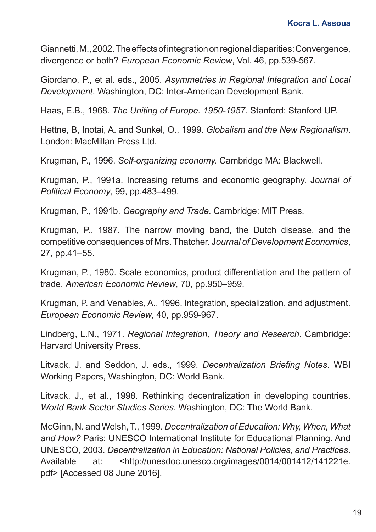Giannetti, M., 2002. The effects of integration on regional disparities: Convergence, divergence or both? *European Economic Review*, Vol. 46, pp.539-567.

Giordano, P., et al. eds., 2005. *Asymmetries in Regional Integration and Local Development*. Washington, DC: Inter-American Development Bank.

Haas, E.B., 1968. *The Uniting of Europe. 1950-1957*. Stanford: Stanford UP.

Hettne, B, Inotai, A. and Sunkel, O., 1999. *Globalism and the New Regionalism*. London: MacMillan Press Ltd.

Krugman, P., 1996. *Self-organizing economy.* Cambridge MA: Blackwell.

Krugman, P., 1991a. Increasing returns and economic geography. J*ournal of Political Economy*, 99, pp.483–499.

Krugman, P., 1991b. *Geography and Trade*. Cambridge: MIT Press.

Krugman, P., 1987. The narrow moving band, the Dutch disease, and the competitive consequences of Mrs. Thatcher. J*ournal of Development Economics*, 27, pp.41–55.

Krugman, P., 1980. Scale economics, product differentiation and the pattern of trade. *American Economic Review*, 70, pp.950–959.

Krugman, P. and Venables, A., 1996. Integration, specialization, and adjustment. *European Economic Review*, 40, pp.959-967.

Lindberg, L.N., 1971. *Regional Integration, Theory and Research*. Cambridge: Harvard University Press.

Litvack, J. and Seddon, J. eds., 1999. *Decentralization Briefing Notes*. WBI Working Papers, Washington, DC: World Bank.

Litvack, J., et al., 1998. Rethinking decentralization in developing countries. *World Bank Sector Studies Series*. Washington, DC: The World Bank.

McGinn, N. and Welsh, T., 1999. *Decentralization of Education: Why, When, What and How?* Paris: UNESCO International Institute for Educational Planning. And UNESCO, 2003. *Decentralization in Education: National Policies, and Practices*. Available at: <http://unesdoc.unesco.org/images/0014/001412/141221e. pdf> [Accessed 08 June 2016].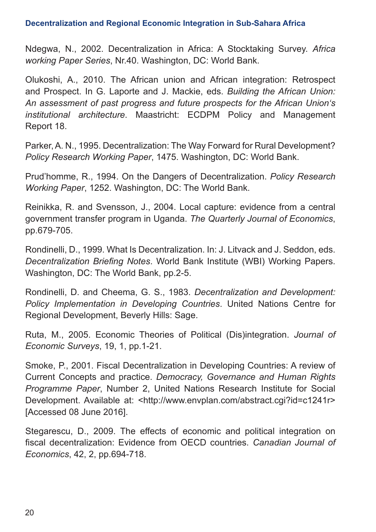Ndegwa, N., 2002. Decentralization in Africa: A Stocktaking Survey. *Africa working Paper Series*, Nr.40. Washington, DC: World Bank.

Olukoshi, A., 2010. The African union and African integration: Retrospect and Prospect. In G. Laporte and J. Mackie, eds. *Building the African Union: An assessment of past progress and future prospects for the African Union's institutional architecture*. Maastricht: ECDPM Policy and Management Report 18.

Parker, A. N., 1995. Decentralization: The Way Forward for Rural Development? *Policy Research Working Paper*, 1475. Washington, DC: World Bank.

Prud'homme, R., 1994. On the Dangers of Decentralization. *Policy Research Working Paper*, 1252. Washington, DC: The World Bank.

Reinikka, R. and Svensson, J., 2004. Local capture: evidence from a central government transfer program in Uganda. *The Quarterly Journal of Economics*, pp.679-705.

Rondinelli, D., 1999. What Is Decentralization. In: J. Litvack and J. Seddon, eds. *Decentralization Briefing Notes*. World Bank Institute (WBI) Working Papers. Washington, DC: The World Bank, pp.2-5.

Rondinelli, D. and Cheema, G. S., 1983. *Decentralization and Development: Policy Implementation in Developing Countries*. United Nations Centre for Regional Development, Beverly Hills: Sage.

Ruta, M., 2005. Economic Theories of Political (Dis)integration. *Journal of Economic Surveys*, 19, 1, pp.1-21.

Smoke, P., 2001. Fiscal Decentralization in Developing Countries: A review of Current Concepts and practice. *Democracy, Governance and Human Rights Programme Paper*, Number 2, United Nations Research Institute for Social Development. Available at: <http://www.envplan.com/abstract.cgi?id=c1241r> [Accessed 08 June 2016].

Stegarescu, D., 2009. The effects of economic and political integration on fiscal decentralization: Evidence from OECD countries. *Canadian Journal of Economics*, 42, 2, pp.694-718.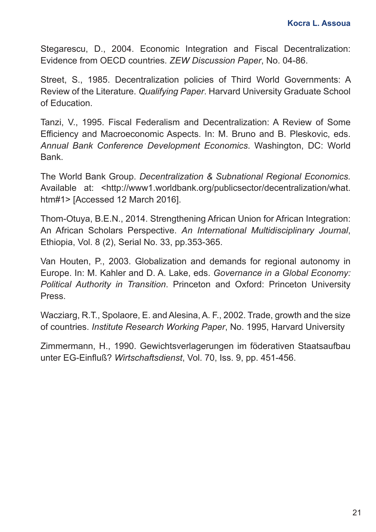Stegarescu, D., 2004. Economic Integration and Fiscal Decentralization: Evidence from OECD countries. *ZEW Discussion Paper*, No. 04-86.

Street, S., 1985. Decentralization policies of Third World Governments: A Review of the Literature. *Qualifying Paper*. Harvard University Graduate School of Education.

Tanzi, V., 1995. Fiscal Federalism and Decentralization: A Review of Some Efficiency and Macroeconomic Aspects. In: M. Bruno and B. Pleskovic, eds. *Annual Bank Conference Development Economics*. Washington, DC: World Bank.

The World Bank Group. *Decentralization & Subnational Regional Economics.*  Available at: <http://www1.worldbank.org/publicsector/decentralization/what. htm#1> [Accessed 12 March 2016].

Thom-Otuya, B.E.N., 2014. Strengthening African Union for African Integration: An African Scholars Perspective. *An International Multidisciplinary Journal*, Ethiopia, Vol. 8 (2), Serial No. 33, pp.353-365.

Van Houten, P., 2003. Globalization and demands for regional autonomy in Europe. In: M. Kahler and D. A. Lake, eds. *Governance in a Global Economy: Political Authority in Transition*. Princeton and Oxford: Princeton University Press.

Wacziarg, R.T., Spolaore, E. and Alesina, A. F., 2002. Trade, growth and the size of countries. *Institute Research Working Paper*, No. 1995, Harvard University

Zimmermann, H., 1990. Gewichtsverlagerungen im föderativen Staatsaufbau unter EG-Einfluß? *Wirtschaftsdienst*, Vol. 70, Iss. 9, pp. 451-456.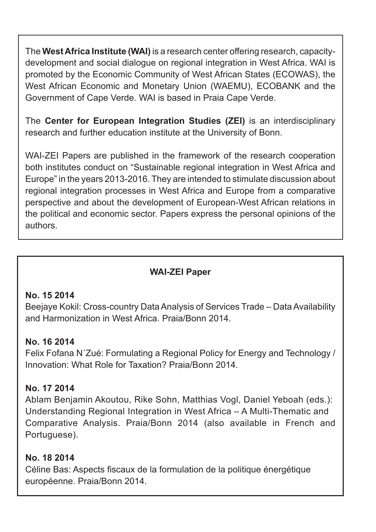The **West Africa Institute (WAI)** is a research center offering research, capacitydevelopment and social dialogue on regional integration in West Africa. WAI is promoted by the Economic Community of West African States (ECOWAS), the West African Economic and Monetary Union (WAEMU), ECOBANK and the Government of Cape Verde. WAI is based in Praia Cape Verde.

The **Center for European Integration Studies (ZEI)** is an interdisciplinary research and further education institute at the University of Bonn.

WAI-ZEI Papers are published in the framework of the research cooperation both institutes conduct on "Sustainable regional integration in West Africa and Europe" in the years 2013-2016. They are intended to stimulate discussion about regional integration processes in West Africa and Europe from a comparative perspective and about the development of European-West African relations in the political and economic sector. Papers express the personal opinions of the authors.

### **WAI-ZEI Paper**

### **No. 15 2014**

Beejaye Kokil: Cross-country Data Analysis of Services Trade – Data Availability and Harmonization in West Africa. Praia/Bonn 2014.

### **No. 16 2014**

Felix Fofana N´Zué: Formulating a Regional Policy for Energy and Technology / Innovation: What Role for Taxation? Praia/Bonn 2014.

### **No. 17 2014**

Ablam Benjamin Akoutou, Rike Sohn, Matthias Vogl, Daniel Yeboah (eds.): Understanding Regional Integration in West Africa – A Multi-Thematic and Comparative Analysis. Praia/Bonn 2014 (also available in French and Portuguese).

### **No. 18 2014**

Céline Bas: Aspects fiscaux de la formulation de la politique énergétique européenne. Praia/Bonn 2014.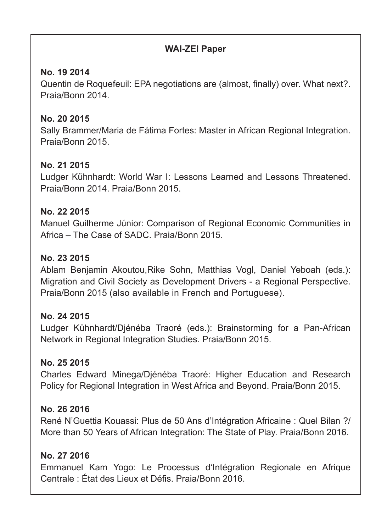### **WAI-ZEI Paper**

### **No. 19 2014**

Quentin de Roquefeuil: EPA negotiations are (almost, finally) over. What next?. Praia/Bonn 2014.

### **No. 20 2015**

Sally Brammer/Maria de Fátima Fortes: Master in African Regional Integration. Praia/Bonn 2015.

### **No. 21 2015**

Ludger Kühnhardt: World War I: Lessons Learned and Lessons Threatened. Praia/Bonn 2014. Praia/Bonn 2015.

### **No. 22 2015**

Manuel Guilherme Júnior: Comparison of Regional Economic Communities in Africa – The Case of SADC. Praia/Bonn 2015.

### **No. 23 2015**

Ablam Benjamin Akoutou,Rike Sohn, Matthias Vogl, Daniel Yeboah (eds.): Migration and Civil Society as Development Drivers - a Regional Perspective. Praia/Bonn 2015 (also available in French and Portuguese).

### **No. 24 2015**

Ludger Kühnhardt/Djénéba Traoré (eds.): Brainstorming for a Pan-African Network in Regional Integration Studies. Praia/Bonn 2015.

### **No. 25 2015**

Charles Edward Minega/Djénéba Traoré: Higher Education and Research Policy for Regional Integration in West Africa and Beyond. Praia/Bonn 2015.

### **No. 26 2016**

René N'Guettia Kouassi: Plus de 50 Ans d'Intégration Africaine : Quel Bilan ?/ More than 50 Years of African Integration: The State of Play. Praia/Bonn 2016.

### **No. 27 2016**

Emmanuel Kam Yogo: Le Processus d'Intégration Regionale en Afrique Centrale : État des Lieux et Défis. Praia/Bonn 2016.